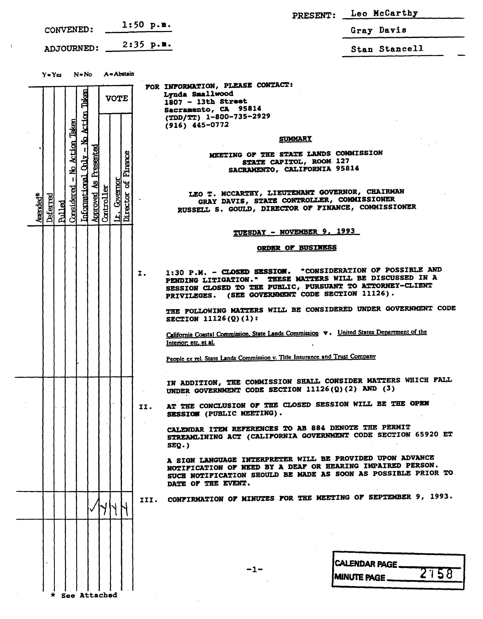|                                                                                                                                                    |                                                                                                                                                                                                                                                | PRESENT: Leo McCarthy |
|----------------------------------------------------------------------------------------------------------------------------------------------------|------------------------------------------------------------------------------------------------------------------------------------------------------------------------------------------------------------------------------------------------|-----------------------|
| CONVENED:                                                                                                                                          | $1:50$ p.m.                                                                                                                                                                                                                                    | Gray Davis            |
| <b>ADJOURNED:</b>                                                                                                                                  | $2:35$ p.m.                                                                                                                                                                                                                                    | Stan Stancell         |
| A = Abstain<br>$Y = Yes$ $N = No$                                                                                                                  | FOR INFORMATION, PLEASE CONTACT:<br>Lynda Smallwood                                                                                                                                                                                            |                       |
| Taken<br><b>VOTE</b>                                                                                                                               | 1807 - 13th Street<br>Sacramento, CA 95814<br>(TDD/TT) 1-800-735-2929<br>$(916)$ 445-0772                                                                                                                                                      |                       |
| No Action<br><u>Action Taken</u>                                                                                                                   | <u>SUMMARY</u>                                                                                                                                                                                                                                 |                       |
| Presented<br>Firance<br><b>Shirt</b><br>$\overline{\mathbf{z}}$<br>ಕ                                                                               | MEETING OF THE STATE LANDS COMMISSION<br>STATE CAPITOL, ROOM 127<br>SACRAMENTO, CALIFORNIA 95814                                                                                                                                               |                       |
| Informational<br>Governor<br>Controller<br>Considered<br>Director<br>hproved<br>Deferred<br>Amended*<br><b>Rulled</b><br>$\overline{\mathsf{h}}$ . | LEO T. MCCARTHY, LIEUTENANT GOVERNOR, CHAIRMAN<br>GRAY DAVIS, STATE CONTROLLER, COMMISSIONER<br>RUSSELL S. GOULD, DIRECTOR OF FINANCE, COMMISSIONER                                                                                            |                       |
|                                                                                                                                                    | TUESDAY - NOVEMBER 9, 1993                                                                                                                                                                                                                     |                       |
|                                                                                                                                                    | <b>ORDER OF BUSINESS</b>                                                                                                                                                                                                                       |                       |
|                                                                                                                                                    | 1:30 P.M. - CLOSED SESSION. "CONSIDERATION OF POSSIBLE AND<br>Ι.<br>PENDING LITIGATION." THESE MATTERS WILL BE DISCUSSED IN A<br>SESSION CLOSED TO THE PUBLIC, PURSUANT TO ATTORNEY-CLIENT<br>PRIVILEGES. (SEE GOVERNMENT CODE SECTION 11126). |                       |
|                                                                                                                                                    | THE FOLLOWING MATTERS WILL BE CONSIDERED UNDER GOVERNMENT CODE<br>SECTION 11126(Q)(1):                                                                                                                                                         |                       |
|                                                                                                                                                    | California Coastal Commission, State Lands Commission v. United States Department of the<br>Interior: etc. et al.                                                                                                                              |                       |
|                                                                                                                                                    | People ex rel. State Lands Commission v. Title Insurance and Trust Company                                                                                                                                                                     |                       |
|                                                                                                                                                    | IN ADDITION, THE COMMISSION SHALL CONSIDER MATTERS WHICH FALL<br>UNDER GOVERNMENT CODE SECTION 11126(Q)(2) AND (3)                                                                                                                             |                       |
|                                                                                                                                                    | AT THE CONCLUSION OF THE CLOSED SESSION WILL BE THE OPEN<br>II.<br>SESSION (PUBLIC MEETING).                                                                                                                                                   |                       |
|                                                                                                                                                    | CALENDAR ITEM REFERENCES TO AB 884 DENOTE THE PERMIT<br>STREAMLINING ACT (CALIFORNIA GOVERNMENT CODE SECTION 65920 ET<br>$SEQ.$ )                                                                                                              |                       |
|                                                                                                                                                    | A SIGN LANGUAGE INTERPRETER WILL BE PROVIDED UPON ADVANCE<br>NOTIFICATION OF NEED BY A DEAF OR HEARING IMPAIRED PERSON.<br>SUCH NOTIFICATION SHOULD BE MADE AS SOON AS POSSIBLE PRIOR TO<br>DATE OF THE EVENT.                                 |                       |
|                                                                                                                                                    | CONFIRMATION OF MINUTES FOR THE MEETING OF SEPTEMBER 9, 1993.<br>III.                                                                                                                                                                          |                       |
|                                                                                                                                                    |                                                                                                                                                                                                                                                |                       |
| See Attached                                                                                                                                       | -1-                                                                                                                                                                                                                                            | CALENDAR PAGE 2158    |

 $\mathcal{F}^{\text{max}}_{\text{max}}$ 

 $\bar{z}$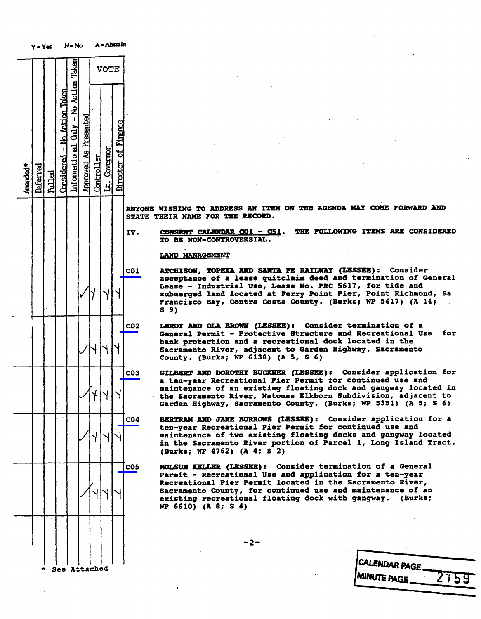|          | Y = Ycs  |               |                              | N=No                                 |                       |            |              | A = ADSUID          |                                                                                             |
|----------|----------|---------------|------------------------------|--------------------------------------|-----------------------|------------|--------------|---------------------|---------------------------------------------------------------------------------------------|
|          |          |               |                              |                                      |                       |            | <b>VOTE</b>  |                     |                                                                                             |
| Amended* | Deferred | <b>Pulled</b> | Considered - No Action Taken | Informational Only - No Action Taken | Approved As Presented | Controller | Lt. Covernor | Director of Pinance |                                                                                             |
|          |          |               |                              |                                      |                       |            |              |                     | <b>ANYONE</b><br><b>WISHING</b><br><b>STATE</b><br>THEIR<br><b>NAM</b>                      |
|          |          |               |                              |                                      |                       |            |              |                     | IV.<br><b>CONSENT</b><br>TO<br><b>BE</b><br>$\overline{\mathbf{N}}$                         |
|          |          |               |                              |                                      |                       |            |              |                     | <b>LAND MAN</b><br>CO <sub>1</sub><br><b>ATCHISOR</b>                                       |
|          |          |               |                              |                                      |                       |            |              |                     | acceptar<br>Lease<br>submerge<br>Franciso<br>S <sub>9</sub>                                 |
|          |          |               |                              |                                      |                       |            |              |                     | CO <sub>2</sub><br><b>LEROY AP</b><br>General<br>bank pro<br><b>Sacramer</b><br>County.     |
|          |          |               |                              |                                      |                       | Y          | Y            |                     | CO <sub>3</sub><br><b>GILBERT</b><br>ten-ye<br>a<br>maintena<br>the Sacr<br><b>Garden</b> E |
|          |          |               |                              |                                      |                       |            |              |                     | CO <sub>4</sub><br><b>BERTRAM</b><br>ten-year<br>maintena<br>in the S<br>(Burks;            |
|          |          |               |                              |                                      |                       |            |              |                     | <b>CO5</b><br>MOLSUM D<br>Permit -<br>Recreati<br><b>Sacramer</b><br>existing<br>WP 6610)   |
|          |          |               |                              |                                      |                       |            |              |                     |                                                                                             |
|          | $\star$  |               |                              |                                      | See Attached          |            |              |                     |                                                                                             |

YONE WISHING TO ADDRESS AN ITEM ON THE AGENDA MAY COME FORWARD AND<br>ATE THEIR NAME FOR THE RECORD. STATE THEIR NAME FOR THE RECORD.

TO BE NON-CONTROVERSIAL. TO BE NON-CONTROVERSI

LAND MANAGEMENT

ATCHISON, TOPEKA AND SANTA FE RAILWAY (LESSEE): Consider acceptance of a lease quitclaim deed and termination of General acceptance of a lease quitcleim deed and communicies<br>Lease - Industrial Use, Lease No. PRC 5617, for tide Lease - Industrial Use, mease not the Secr, be<br>submerged land located at Ferry Point Pier, Po submerged land located at Ferry Ferry Point Pier, Point  $F_{\text{r}}$  and isomorphic  $B_{\text{r}}$  and  $F_{\text{r}}$  (burks) (contracts  $\mathcal{L}_{\text{r}}$ ) (contracts  $\mathcal{L}_{\text{r}}$ ) S 9)

LEROY AND OLA BROWN (LESSEE): Consider termination of a<br>General Permit - Protective Structure and Recreational Use for bank protection and a recreational dock located in the Sacramento River, adjacent to Garden Highway, Sacramento Sacramento River, adjacent to Garden Highway,  $\overline{\phantom{a}}$ 

GILBERT AND DOROTHY BUCKNER (LESSEE): Consider application for<br>a ten-year Recreational Pier Permit for continued use and maintenance of an existing floating dock and gangway located in the Sacramento River, Natomas Elkhorn Subdivision, adjacent to Garden Highway, Sacramento County. (Burks; WP 5351) (A 5; \$ 6)

BERTRAM AND JANE BURROWS (LESSEE): Consider application for a ten-year Recreational Pier Permit for continued use and maintenance of two existing floating docks and gangway located in the Sacramento River portion of Parcel 1, Long Island Tract. in the Sacramento River portion of Parcel 1, Long Island Tract. (Butks;  $\frac{1}{2}$   $\frac{1}{2}$   $\frac{1}{2}$   $\frac{1}{2}$   $\frac{1}{2}$   $\frac{1}{2}$   $\frac{1}{2}$   $\frac{1}{2}$   $\frac{1}{2}$ 

MOLSUN KELLER (LESSEE): Consider termination of a General Permit - Recreational Use and application for a ten-year Recreational Pier Permit located in the Sacramento River, Sacramento County, for continued use and maintenance of an Sacramento County, for continued use and maintenance of and maintenance of and maintenance of and maintenance o existing recreational floating dock with gangway. (Burks)  $(WP 6610)$  (A 8; S 4)

-2-

| <b>CALENDAR PAGE</b>       |
|----------------------------|
|                            |
| <b>MINUTE PAGE</b><br>2759 |
|                            |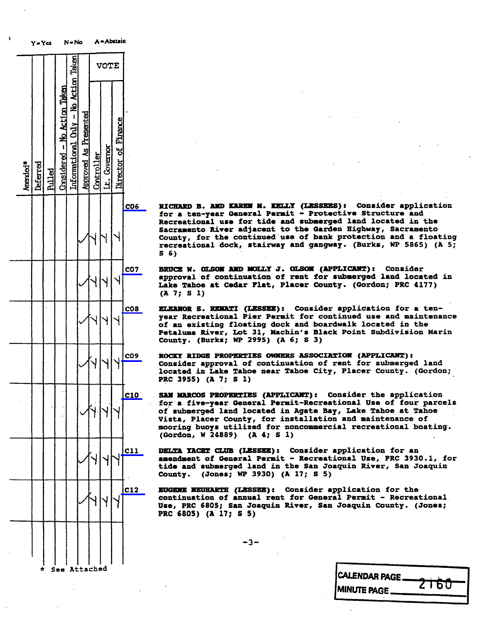|          | Y = Yes  |        |                              | N=No                                  |                              |            | A = ADSI3IB  |                     |                 |                                                                                                                        |
|----------|----------|--------|------------------------------|---------------------------------------|------------------------------|------------|--------------|---------------------|-----------------|------------------------------------------------------------------------------------------------------------------------|
|          |          |        |                              |                                       |                              |            | <b>VOTE</b>  |                     |                 |                                                                                                                        |
| Amended* | Deferred | hilled | $Considered - No Act on The$ | Informational Chily - No Action Taken | <b>Approved As Presented</b> | Controller | Lt. Covernor | Director of Finance |                 |                                                                                                                        |
|          |          |        |                              |                                       |                              |            |              |                     | CO <sub>6</sub> | <b>RICHARD</b><br>в<br>for a<br>ten<br>Recreation<br><b>Sacrament</b><br>County,<br>£,<br>recreation<br>S <sub>6</sub> |
|          |          |        |                              |                                       |                              |            |              |                     | <b>CO7</b>      | <b>BRUCE</b><br>approval<br>ं<br>Lake Taho<br>$\mathbf{1}$<br>(A, 7)<br>S                                              |
|          |          |        |                              |                                       |                              |            |              |                     | C <sub>08</sub> | <b>KLKANOR</b><br>S<br>year Recre<br>of an exis<br>Petaluma<br>County.<br>$\mathcal{O}$                                |
|          |          |        |                              |                                       |                              |            |              |                     | CO <sub>9</sub> | <b>ROCKY RIDO</b><br>Consider<br>located in<br>PRC 3955)                                                               |
|          |          |        |                              |                                       |                              |            |              |                     | C10             | <b>SAN MARCOS</b><br>for a five<br>of submer<br>Vista, Pla<br>mooring b<br>(Gordon, 1                                  |
|          |          |        |                              |                                       |                              |            |              |                     | C11             | <b>DELTA YACI</b><br>amendment<br>tide and :<br>County.                                                                |
|          |          |        |                              |                                       |                              |            |              |                     | C12             | <b>EUGENE NET</b><br>continuat:<br>Use, PRC (<br>PRC 6805)                                                             |
|          |          |        |                              |                                       |                              |            |              |                     |                 |                                                                                                                        |
|          | $\star$  |        | See                          |                                       | Attached                     |            |              |                     |                 |                                                                                                                        |

CO6 RICHARD B. AND KAREN M. KELLY (LESSEES) : Consider application for a ten-year General Permit - Protective Recreational use for tide and submerged land located in the<br>Sacramento River adjacent to the Garden Highway, Sacramento Sacramento Kiver adjacent to the Garden Highway, Sacramento Kiver adjacent to the Garden County, for the continued use of bank protection and continued bank and a floot of the same of recreational dock, stairway and gangway . (Burks, WP 5865) (A 5; 5 6)

> BRUCE W. OLSON AND MOLLY J. OLSON (APPLICANT): Consider approval of continuation of rent for submerged land located in approval of continuation of rent for submerged Lake Tahoe at Cedar Flat, Placer County. (Gordon; (A 7; S 1)

BIRANOR S. RENATI (LESSEE): Consider application for a ten-<br>year Recreational Pier Permit for continued use and maintenance year Recreational Pier Permit for continued use and maintenance and maintenance of an existing floating dock and boardwalk Petaluma River, Lot 31, Machin's Black Point Subdivision Marin County. (Burks; WP 2995) (A 6; \$ 3)

ROCKY RIDGE PROPERTIES OWNERS ASSOCIATION (APPLICANT):<br>Consider approval of continuation of rent for submerged land located in Lake Tahoe near Tahoe City, Placer County. (Gordon; PRC 3955) (A 7; S 1)

SAN MARCOS PROPERTIES (APPLICANT): Consider the application for a five-year General Permit-Recreational Use of four parcels of submerged land located in Agate Bay, Lake Tahoe at Tahoe Vista, Placer County, for installation and maintenance of mooring buoys utilized for noncommercial recreational boating. Gordon, W 24889) (A 4; S 1)

DELTA YACHT CLUB (LESSEE) : Consider application for an amendment of General Permit - Recreational Use, PRC 3930.1, for tide and submerged land in the San Joaquin River, San Joaquin County. (Jones; WP 3930) (A 17; s 5)

C12 **EUGENE NEUHARTH (LESSEE):** Consider application for the<br>continuation of annual rent for General Permit - Pecre continuation of annual rent for General Permit -Use, PRC 6805; San Joaquin River, San Joaquin County. (Jones; PRC 6805) (A 17; \$ 5)

-3-

| <b>CALENDAR PAGE.</b> |  |             |  |
|-----------------------|--|-------------|--|
|                       |  | <b>ZT60</b> |  |
| <b>MINUTE PAGE.</b>   |  |             |  |
|                       |  |             |  |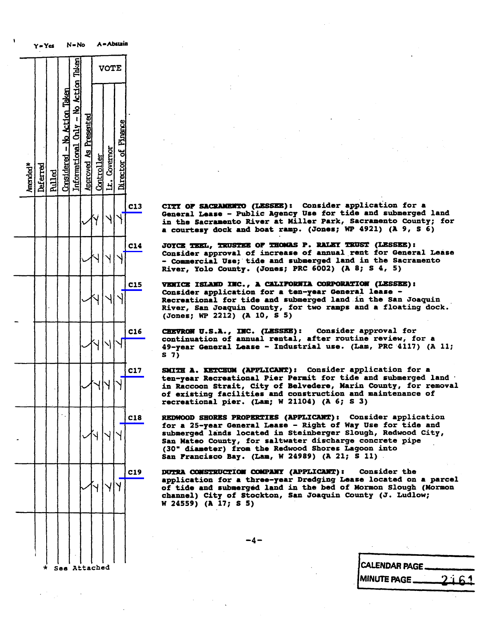|          | y = Yes  |               |                              | LA = LAO                             |                              |            |              |                     |     |                                  |                                                                              |
|----------|----------|---------------|------------------------------|--------------------------------------|------------------------------|------------|--------------|---------------------|-----|----------------------------------|------------------------------------------------------------------------------|
|          |          |               |                              |                                      |                              |            | <b>VOTE</b>  |                     |     |                                  |                                                                              |
| Amended* | Deferred | <b>Pulled</b> | Considered - No Action Taken | Informational Only - No Action Taken | <b>Approved As Presented</b> | Controller | Lt. Covernor | Director of Finance |     |                                  |                                                                              |
|          |          |               |                              |                                      |                              | 7          |              |                     | C13 |                                  | CITY OF 8<br>General 1<br>in the Sa<br><b>courte:</b>                        |
|          |          |               |                              |                                      |                              |            |              |                     | C14 | River,                           | <b>JOYCE TEI</b><br>Consider<br>Commer<br>Y)                                 |
|          |          |               |                              |                                      |                              |            |              |                     | C15 | VENICE<br>River,<br>(Jones;      | I.<br>Consider<br>Recreatio<br>$S_{\ell}$<br>١                               |
|          |          |               |                              |                                      |                              |            |              |                     | C16 | <b>CHEVRON</b><br>S <sub>7</sub> | continuat<br>49-year (                                                       |
|          |          |               |                              |                                      |                              |            |              |                     | C17 | SHITH                            | ten-year<br>in Raccoo<br>of exist:<br>recreatio                              |
|          |          |               |                              |                                      |                              | ⇃          |              |                     | C18 |                                  | REDWOOD :<br>for a $25-$<br>submergeo<br>San Mated<br>(30" dias<br>San Frano |
|          |          |               |                              |                                      |                              |            |              |                     | C19 |                                  | <b>DUTRA COI</b><br>applicat:<br>of tide a<br>channel)<br>W 24559)           |
|          |          |               |                              |                                      |                              |            |              |                     |     |                                  |                                                                              |

CITY OF SACRAMENTO (LESSEE): Consider application for a<br>General Lease - Public Agency Use for tide and submerged land in the Sacramento River at Miller Park, Sacramento County; for in the Sacramento River at Miller Park, Sacramento<br>a courtesy dock and boat ramp. (Jones: WP 4921) (A a courtesy dock and boat ramp. (Jones;  $M = 1$ 

I JOYCE TEEL, TRUSTEE OF THOMAS P. RALEY TRUST (LESSEE):<br>Consider approval of increase of annual rent for General Lease - Commercial Use; tide and submerged land in the Sacramento - Commercial USe; tide and submerged hand in the<br>River, Volo County, (Jones: PRC 6002) (A 8: S River, Yolo County. (Jones; PRC 6002) (A 8; \$ 4, 5

TENICE ISLAND INC., A CALIFORNIA CORPORATION (LESSEE):<br>Consider application for a ten-year General lease -Recreational for tide and submerged land in the San Joaquin Recreational for tide and submerged land in the San Joaquin County, for two ramps and a f  $R = \frac{C}{\sqrt{500}}$  and  $\frac{C}{\sqrt{500}}$  and  $\frac{C}{\sqrt{500}}$  (and  $\frac{C}{\sqrt{500}}$  and  $\frac{C}{\sqrt{500}}$  and  $\frac{C}{\sqrt{500}}$ (Jones; WP 2212) (A 10, \$ 5)

CHEVROM U.S.A., INC. (LESSEE): Consider approval for continuation of annual rental, after routine review, for a 49-year General Lease - Industrial use. (Lam, PRC 4117) (A 11; S 7)

SMITH A. KETCHUM (APPLICANT): Consider application for a ten-year Recreational Pier Permit for tide and submerged land in Raccoon Strait, City of Belvedere, Marin County, for removal of existing facilities and construction and maintenance of of existing facilities and construction and maintenance of  $r = 1$ 

REDWOOD SHORES PROPERTIES (APPLICANT): Consider application<br>for a 25-year General Lease - Right of Way Use for tide and submerged lands located in Steinberger Slough, Redwood City, San Mateo County, for saltwater discharge concrete pipe<br>(30" diameter) from the Redwood Shores Lagoon into (30" diameter) from the Redwood Shores L<br>San Francisco Bay, (Lam. W 24989) (A 21:  $S_{\text{max}}$  Francisco Bay. (2007) W 2499999

DUTRA CONSTRUCTION COMPANY (APPLICANT): Consider the application for a three-year Dredging Lease located on a parcel of tide and submerged land in the bed of Mormon Slough (Mormon channel) City of Stockton, San Joaquin County (J. Ludlow; W 24559) (A 17; S 5)

-4-

| * See Attached | CALENDAR PAGE               |
|----------------|-----------------------------|
|                | <b>MINUTE PAGE.</b><br>2161 |
|                |                             |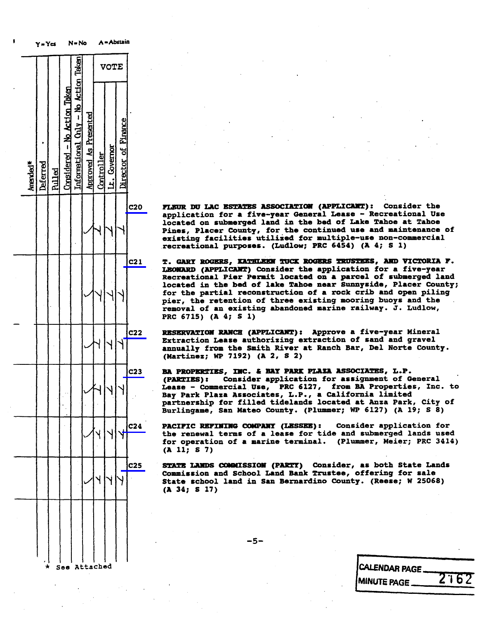|                      |          |               |                              |                                      |                              |            | <b>VOTE</b>  |                     |                 |                                                                                                                 |              |
|----------------------|----------|---------------|------------------------------|--------------------------------------|------------------------------|------------|--------------|---------------------|-----------------|-----------------------------------------------------------------------------------------------------------------|--------------|
| Amended <sup>*</sup> | Deferred | <b>Pulled</b> | Considered - No Action Taken | Informational Chly - No Action Taken | <b>Approved As Presented</b> | Controller | Lt. Covernor | Director of Finance |                 |                                                                                                                 |              |
|                      |          |               |                              |                                      |                              |            |              |                     | C <sub>20</sub> | <b>FLEUR DU</b><br>applicat<br>located<br>Pines,<br>existing<br>recreati                                        | $\mathbf{P}$ |
|                      |          |               |                              |                                      |                              |            |              |                     | C21             | <b>GARY</b><br>T.<br><b>LEONARD</b><br>Recreati<br>located<br>for the<br>pier, th<br>removal<br><b>PRC 6715</b> |              |
|                      |          |               |                              |                                      |                              |            |              |                     | C <sub>22</sub> | <b>RESERVAT</b><br>Extracti<br>annually<br>(Martine                                                             |              |
|                      |          |               |                              |                                      |                              |            |              |                     | C <sub>23</sub> | <b>BA PROPE</b><br>(PARTIES<br>Lease<br>Bay Park<br>partners<br>Burlinga                                        |              |
|                      |          |               |                              |                                      |                              |            |              |                     | C <sub>24</sub> | <b>PACIFIC</b><br>the rene<br>for oper<br>(A 11; S)                                                             |              |
|                      |          |               |                              |                                      |                              |            |              |                     | C <sub>25</sub> | STATE LA<br>Commissi<br>State so<br>(A, 34; S)                                                                  |              |
|                      |          |               |                              |                                      |                              |            |              |                     |                 |                                                                                                                 |              |
|                      |          |               |                              |                                      |                              |            |              |                     |                 |                                                                                                                 |              |

A-Abstain

FLEUR DU LAC ESTATES ASSOCIATION (APPLICANT): Consider the application for a five-year General Lease - Recreational Use located on submerged land in the bed of Lake Tahoe at Tahoe Pines, Placer County, for the continued use and maintenance of existing facilities utilized for multiple-use non-commercial existing facilities utilized for multiple-use recreational purposes. (Ludlow; PRC 6454) (A 4; 8 1)

T. GARY ROGERS, KATHLEEN TUCK ROGERS TRUSTEES, AND VICTORIA F.<br>LEONARD (APPLICANT) Consider the application for a five-year Recreational Pier Permit located on a parcel of submerged land located in the bed of lake Tahoe near Sunnyside, Placer County; for the partial reconstruction of a rock crib and open piling pier, the retention of three existing mooring buoys and the pier, the recommence of three existing modes are retrieved to retrieve the reduced marine rate. removal of an existing abandoned marine railway. PRC 6715) (A 4; S 1)

RESERVATION RANCH (APPLICANT): Approve a five-year Mineral<br>Extraction Lease authorizing extraction of sand and gravel annually from the Smith River at Ranch Bar, Del Norte County. (Martinez; WP 7192) (A 2, \$ 2)

BA PROPERTIES, INC. & BAY PARK PLAZA ASSOCIATES, L.P.<br>(PARTIES): Consider application for assignment of General Lease - Commercial Use, PRC 6127, from BA Properties, Inc. to Bay Park Plaza Associates, L.P., a California limited partnership for filled tidelands located at Anza Park, City of partnership for filled tidelands located at Burlingame, San Mateo County. (Plummer; WP 61

PACIFIC REFINING COMPANY (LESSEE): Consider application for<br>the renewal terms of a lease for tide and submerged lands used  $\mathbb{V}$  Y Y Y  $\mathbb{V}$  Che renewal terms of a lease for tide and submerged lands used in the renewal terms of a lease for tide and submerged lands used in the submerged lands used in the submerged lands used in the subme for operation of a marine terminal. (Plummer, Meier, PRC 3414) (All; s 7)

> STATE LANDS COMMISSION (PARTY) Consider, as both State Lands<br>Commission and School Land Bank Trustee, offering for sale State school land in San Bernardino County. (Reese; W 25068) (A 34; S 17)

> > -5-

See Attached CALENDAR PAGE. **MINUTE PAGE**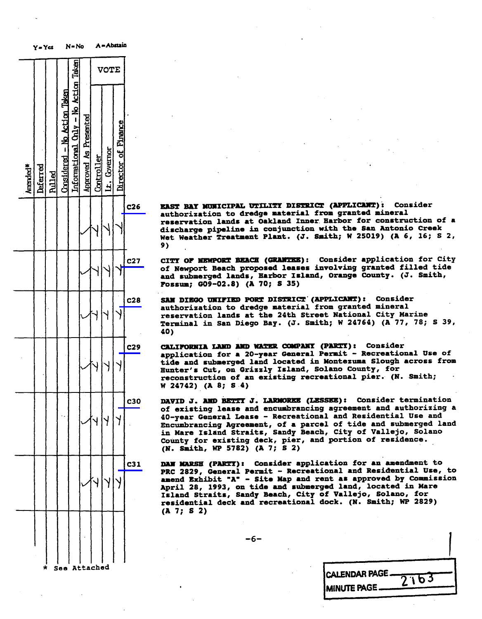|          | 7 = 16   |               |                              |                                      |                       |                   |              |                     |                 |                                                                                                        |
|----------|----------|---------------|------------------------------|--------------------------------------|-----------------------|-------------------|--------------|---------------------|-----------------|--------------------------------------------------------------------------------------------------------|
|          |          |               |                              |                                      |                       |                   | <b>VOTE</b>  |                     |                 |                                                                                                        |
| Amended* | Deferred | <b>Pulled</b> | Considered - No Action Taken | Informational Only - No Action Taken | Approved As Presented | <u>Controller</u> | Lt. Covernor | Director of Finance |                 |                                                                                                        |
|          |          |               |                              |                                      |                       |                   |              |                     | C <sub>26</sub> | <b>EAST BA</b><br>authori:<br>reserva <sup>.</sup><br>dischary<br>Wet<br><b>Weat</b><br>9)             |
|          |          |               |                              |                                      |                       |                   |              |                     | C <sub>27</sub> | CITY OF<br>of Newp<br>subi<br>and<br><b>Fossum;</b>                                                    |
|          |          |               |                              |                                      |                       |                   |              |                     | C <sub>28</sub> | <b>SAN DIE</b><br>authori:<br>reserva <sup>.</sup><br><b>Termina</b> .<br>40)                          |
|          |          |               |                              |                                      |                       |                   |              |                     | C <sub>29</sub> | <b>CALIFORI</b><br>applicat<br>tide<br>an<br><b>Hunter's</b><br>reconst:<br>W 24742                    |
|          |          |               |                              |                                      |                       |                   |              |                     | C30             | <b>DAVID J</b><br>of exis<br>40-year<br>Encumbra<br>in Mare<br>County<br>(N. Smi                       |
|          |          |               |                              |                                      |                       |                   |              |                     | C <sub>31</sub> | <b>DAN MAR</b><br><b>PRC 282</b><br>amend E:<br>April 2<br><b>Island</b><br><b>residen</b><br>(A 7; S) |
|          | ÷        |               |                              |                                      | a++sched              |                   |              |                     |                 |                                                                                                        |

 $A =$  Abetain

 $M = M_{\odot}$ 

 $\sim$  see Attached

EAST BAY MUNICIPAL UTILITY DISTRICT (APPLICANT): Consider authorization to dredge material from granted mineral reservation lands at Oakland Inner Harbor for construction of a discharge pipeline in conjunction with the San Antonio Creek Wet Weather Treatment Plant. (J. Smith; W 25019) We we attend the  $\frac{1}{2}$  smith  $\frac{1}{2}$ ;  $\frac{1}{2}$ 9)

CITY OF MEWPORT BEACH (GRANTEE): Consider application for City<br>of Newport Beach proposed leases involving granted filled tide and submerged lands, Harbor Island, Orange County. (J. Smith, Fossum; G09-02.8) (A 70; \$ 35)

SAN DIEGO UNIFIED PORT DISTRICT' (APPLICANT): Consider authorization to dredge material from granted mineral reservation lands at the 24th Street National City Marine rerminal in San Diego Bav. (J. Smith: W 2 Terminal in San Diego Bay. (J. Smath, W 24764) (A 77, 78; S 39, 78; S 39, 78; S 39, 78; S 39, 78; S 39, 78; S 39, 78; S 39, 78; S 39, 78; S 39, 78; S 39, 78; S 39, 78; S 39, 78; S 39, 78; S 39, 78; S 39, 78; S 39, 78; S 39 40

CALIFORNIA LAND AND WATER COMPANY (PARTY): Consider<br>application for a 20-year General Permit - Recreational Use of tide and submerged land located in Montezuma Slough across from Hunter's Cut, on Grizzly Island, Solano County, for reconstruction of an existing recreational pier. (N. Smith; reconstruction of an existing recreational pier.<br> $W$  24742) (A. S. 4)  $\frac{1}{2}$   $\frac{1}{2}$ 

Q30 DAVID J. AND BETTY J. LARMORKE (LESSEE): Consider termination<br>of existing lease and encumbrancing agreement and authorizing a 40-vear General Lease - Recreational and Residential Use and Encumbrancing Agreement, of a parcel of tide and submerged land in Mare Island Straits, Sandy Beach, City of Vallejo, Solano County for existing deck, pier, and portion of residence.  $(N. Smith. WP 5782) (A 7: S 2)$ 

1 DAN MARSH (PARTY): Consider application for an amendment to<br>PRC 2829, General Permit - Recreational and Residential Use, to amend Exhibit "A" - Site Map and rent as approved by Commission April 28, 1993, on tide and submerged land, located in Mare<br>Island Straits, Sandy Beach, City of Vallejo, Solano, for Island Straits, Sandy Beach, Solar Rock. (N.  $(1, 7; 5, 2)$ (A 7; S 2)

CALENDAR PAGE - 2163<br>MINUTE PAGE

-6-

 $(m)$  smith,  $m = 27.42$ ,  $(n = 7)$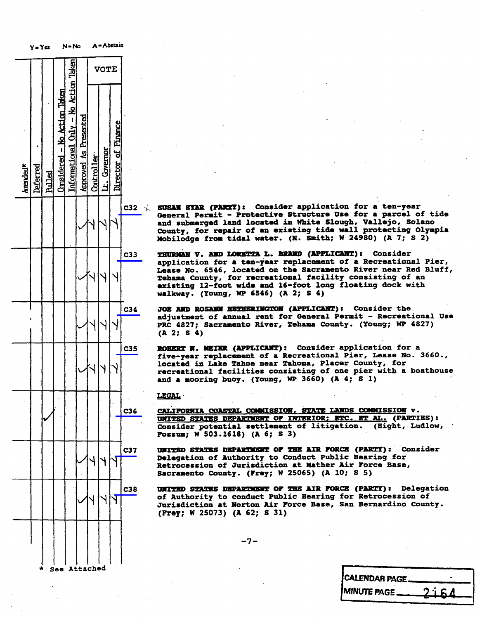|          |          | Y=Yes         |                              | N=No                                 |                              |            |              | A = Abstain         |                 |                          |                                                                                           |
|----------|----------|---------------|------------------------------|--------------------------------------|------------------------------|------------|--------------|---------------------|-----------------|--------------------------|-------------------------------------------------------------------------------------------|
|          |          |               |                              |                                      |                              |            | <b>VOTE</b>  |                     |                 |                          |                                                                                           |
| Amended* | Deferred | <b>Pulled</b> | Considered - No Action Taken | Informational Chly - No Action Taken | <b>Approved As Presented</b> | Controller | Lt. Governor | Director of Pinance |                 |                          |                                                                                           |
|          |          |               |                              |                                      |                              |            |              |                     | C <sub>32</sub> | $\overline{\phantom{a}}$ | SUSAN SI<br>General<br><b>and subm</b><br>County,<br>Mobilodg                             |
|          |          |               |                              |                                      |                              |            |              |                     | C <sub>33</sub> |                          | <b>THURIGN</b><br>applicat<br><b>Lease No</b><br>Tehama<br>C<br>existing<br>walkway.      |
|          |          |               |                              |                                      |                              |            |              |                     | C34             |                          | <b>JOE AND</b><br>adjustme<br><b>PRC 4827</b><br>(A <sub>2</sub> )<br>S                   |
|          |          |               |                              |                                      |                              |            |              |                     | C35             |                          | <b>ROBERT</b><br>Л<br>five-yea<br>located<br>recreati<br>and<br>mo<br>- 8                 |
|          |          |               |                              |                                      |                              |            |              |                     | C36             |                          | <b>LEGAL ·</b><br><b>CALIFORN</b><br><b>UNITED S</b><br><b>Consider</b><br><b>Fossum;</b> |
|          |          |               |                              |                                      |                              |            |              |                     | C37             |                          | <b>UNITED S</b><br>Delegati<br>Retroces<br><b>Sacramen</b>                                |
|          |          |               |                              |                                      |                              |            |              |                     | C38             |                          | <b>UNITED S</b><br>of Autho<br>Jurisdic<br>(Frey; W                                       |
|          | $\star$  |               | See                          |                                      | Attached                     |            |              |                     |                 |                          |                                                                                           |

 $\angle$  SUSAN STAR (PARTI): Consider application for a ten-year<br>General Permit - Protective Structure Use for a parcel of tide and submerged land located in White Slough, Vallejo, Solano County, for repair of an existing tide wall protecting Olympia County, for repair of an existency time while y Mobilodge from times water. (We haven  $\mu$  w 24980)

THURMAN V. AND LORETTA L. BRAND (APPLICANT): Consider application for a ten-year replacement of a Recreational Pier, Lease No. 6546, located on the Sacramento River near Red Bluff, Tehama County, for recreational facility consisting of an existing 12-foot wide and 16-foot long floating dock with existing 12-1000 wide and 16-foot long flo<br>- walkeep - (Young - MD 6546) /1-7: 5-4) walkway: (Young, MP 6546) (A 2;

JO**E AND ROSANN HETHERINGTON (APPLICANT):** Consider the<br>adjustment of annual rent for General Permit - Recreational Use adjustment of annual rent for General Permit - .<br>PRC 4827: Sacramento River, Tehama County. (Your PRC 4627; Sacramento River, Tehana County. (Young; WP 4827) (A 2; S 4)

ROBERT N. MEIER (APPLICANT): Consider application for a<br>five-year replacement of a Recreational Pier, Lease No. 3660., located in Lake Tahoe near Tahoma, Placer County, for recreational facilities consisting of one pier with a boathouse and a mooring buoy. (Young, WP 3660)  $(A 4; S 1)$ 

CALIFORNIA COASTAL COMMISSION, STATE LANDS COMMISSION v.<br>UNITED STATES DEPARTMENT OF INTERIOR; ETC. ET AL. (PARTIES): Consider potential settlement of litigation. (Hight, Ludlow, Consider potential settlement of litigation.<br>Foton: W 503.1618) (A 6: S 3) fossum; W 503 . 102 . 116

UNITED STATES DEPARTMENT OF THE AIR FORCE (PARTY) : Consider Retrocession of Jurisdiction at Mather Air Force Base, Retrossion of Jurisdiction at Mathematic Air Force Base, and Mathematic Base, and Mathematic Base, and Mathematic Base, and Mathematic Base, and Mathematic Base, and Mathematic Base, and Mathematic Base, and Mathematic Bas  $S$  sucramento county. (Frey; W 25005) (A  $=$ 

UNITED STATES DEPARTMENT OF THE AIR FORCE (PARTY): Delegation of Authority to conduct Public Hearing for Retrocession of Jurisdiction at Norton Air Force Base, San Bernardino County. Jurisdiction at Norton Air Force Base, San Bernardino County.  $(1 - 3)$   $\pi$  25073)  $(1 - 3)$ 

-7-

| <b>ICALENDAR PAGE.</b> |       |
|------------------------|-------|
| <b>IMINUTE PAGE</b>    | 2.164 |
|                        |       |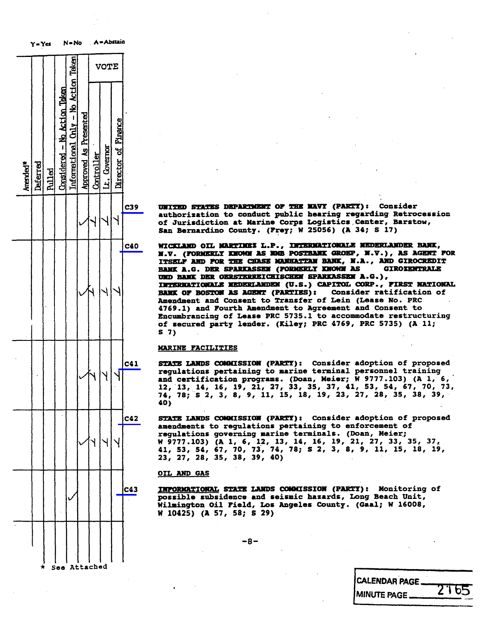

c3s UNITED STATES DEPARTMENT OF THE NAVY (PARTY) : Consider of Jurisdiction at Marine Corps Logistics Center, Barstow, of Jurisdiction at Marine Corps Logistics , Center, Barstow,  $S$ an Bernardino County. (Frey; W 25066) (

C40 NICKLAND OIL MARTINEZ L.P., INTERNATIONALE NEDERLANDER BANK,<br>N.V. (FORMERLY KNOWN AS NOB POSTBANK GROEP, N.V.), AS AGENT FOR ITSELF AND FOR THE CHASE MANHATTAN BANK, N.A., AND GIROCREDIT BANK A.G. DER SPARKASSEN (FORMERLY KNOWN AS GIROTENTRALE UND BANK DER OERSTERREICHISCHEN SPARKASSEN A.G.), INTERNATIONALE MEDEKLANDEN (U.S.) CAPITOL CORP., FIRST NATIONAL BANK OF BOSTON AS AGENT (PARTIES): Consider ratification of Amendment and Consent to Transfer of Lein (Lease No. PRC 4769.1) and Fourth Amendment to Agreement and Consent to Encumbrancing of Lease PRC 5735.1 to accommodate restructuring Encumbrancing of Lease PRC 975912 to accommodate restriction of secured party lender. (Alley, PRC 4769) (As  $\frac{3}{5}$ 5 7)

## MARINE FACILITIES

C41 STATE LANDS COMMISSION (PARTY): Consider adoption of proposed regulations pertaining to marine terminal personnel training regulations pertaining to marine terminal personnel training  $\begin{bmatrix} 0 & 0 \\ 0 & 0 \\ 0 & 0 \\ 0 & 0 \end{bmatrix}$  (Doan, Meier; W 9777.103) (A 1, 12, 13, 14, 16, 19, 21, 27, 33, 35, 37, 41, 53, 54, 6 12, 13, 14, 16, 17, 21, 21, 33, 33, 31, 41, 33, 34, 61,<br>74, 78, 8 2, 3, 8, 9, 11, 15, 18, 19, 23, 27, 28, 35, 38 74, 78; 32, 3, 8, 7, 11, 13, 10, 17, 18, 19, 19, 1<br>40) 40)

C42 STATE LANDS COMMISSION (PARTY): Consider adoption of proposed<br>amendments to requlations pertaining to enforcement of regulations governing marine terminals. (Doan, Meier; regulations governing marine terminals. (Dom, 7. 2021)<br>
W 9777. 103) (A 1, 6, 12, 13, 14, 16, 19, 21, 27, 33, 35, 41, 53, 54, 67, 70, 73, 74, 78; S 2, 3, 8, 9, 11, 15, 1 41, 53, 54, 67, 70, 73, 74, 76; 5 2, 3, 6, 9, 11, 15, 16,<br>23, 27, 28, 35, 38, 39, 40)

### OIL AND GAS

C43 INFORMATIONAL STATE LANDS COMMISSION (PARTY): Monitoring of possible subsidence and seismic hazards, Long Beach Unit, possible subsidence and seismic hashing, .<br>Wilmington Oil Field, Inc Begales County Wilmington Oil Field, Los Angeles County. (Gaal; W 16008, W 16008, W 16008, W 16008, W 16008, W 1600 W 10425) (A 57, 58; \$ 29)

-8-

CALENDAR PAGE. MINUTE PAGE 2165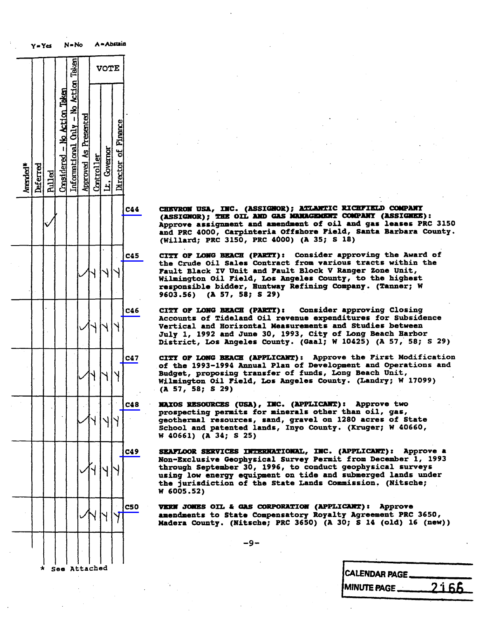|                      | y = Yes<br>N = No |               |                              |                                      |                       |            |              | A = Abitin          |            |                                                                                     |
|----------------------|-------------------|---------------|------------------------------|--------------------------------------|-----------------------|------------|--------------|---------------------|------------|-------------------------------------------------------------------------------------|
|                      |                   |               |                              |                                      |                       |            | <b>VOTE</b>  |                     |            |                                                                                     |
| Amended <sup>*</sup> | Deferred          | <b>Pulled</b> | Considered - No Action Taken | Informational Only - No Action Taken | Approved As Presented | Controller | Lt. Covernor | Director of Finance |            |                                                                                     |
|                      |                   |               |                              |                                      |                       |            |              |                     | C44        | <b>CHEVROM</b><br>(ASSIGNO<br><b>Approve</b><br>and PRC<br>(Willard                 |
|                      |                   |               |                              |                                      |                       |            |              |                     | C45        | OP<br>CITY<br>the Crud<br>Fault Bl<br>Wilmingt<br>responsi<br>9603.56)              |
|                      |                   |               |                              |                                      |                       |            |              |                     | C46        | CITY OF<br><b>Accounts</b><br><b>Vertical</b><br>July 1,<br>District                |
|                      |                   |               |                              |                                      |                       |            |              |                     | C47        | CITY<br>OF<br>of the<br>1<br><b>Budget,</b><br>Wilmingt<br>$\mathbf{A}$<br>57,<br>5 |
|                      |                   |               |                              |                                      |                       |            |              |                     | C48        | <b>NAIOS RE</b><br>prospect<br>geotherm<br>School a<br>W 40661)                     |
|                      |                   |               |                              |                                      |                       |            |              |                     | C49        | <b>SEAFLOOR</b><br><b>Non-Excl</b><br>through<br>using low<br>the juri<br>W 6005.5  |
|                      |                   |               |                              |                                      |                       |            |              |                     | <b>C50</b> | <b>VERN JON</b><br>amendmen<br>Madera C                                             |
|                      | ★                 |               | See Attached                 |                                      |                       |            |              |                     |            |                                                                                     |

CHEVRON USA, INC. (ASSIGNOR); ATLANTIC RICHFIELD COMPANY (ASSIGNOR); THE OIL AND GAS MANAGEMENT COMPANY (ASSIGNES): Approve assignment and amendment of oil and gas leases PRC 3150 Approve assignment and amendment of oil and gas leases .<br>and DDC 4000, Carninteria Offshore Field, Santa Barbara and PRC 4000, Carpinteria Offshore Field, Santa<br>Barbara Barbara County of Santa County (Willard; PRC 3150, PRC 4000) (A 35; S 18)

CITY OF LONG BEACH (PARTY): Consider approving the Award of the Crude Oil Sales Contract from various tracts within the Fault Black IV Unit and Fault Block V Ranger Zone Unit, Wilmington Oil Field, Los Angeles County, to the highest Wilmington Oil Field, Los Angeles County, to the highest Community<br>The hidder Tuntuar Pefining Community responsible bidder, Huntway Refining Company.<br>(Tasponsible bidder, Huntway Refining Company.) 9603.56) (A 57, 58; S 29)

CITY OF LONG BEACH (PARTY): Consider approving Closing<br>Accounts of Tideland Oil revenue expenditures for Subsidence<br>Vertical and Horizontal Measurements and Studies between July 1, 1992 and June 30, 1993, City of Long Beach Harbor July 1, 1992 and June 30, 1993, City of Long<br>Bistrict, Joe Beaches County, (Cael: W.10495 District, Los Angeles County. (Gaal; W 10425) (

CITY OF LONG BEACH (APPLICANT): Approve the First Modification<br>of the 1993-1994 Annual Plan of Development and Operations and Budget, proposing transfer of funds, Long Beach Unit, Budget, proposing transfer of funds, 2020<br>Bilmington Oil Bield, Los Begales County Wilmington Oil Field, Los Angeles County. (Landry)<br>2008 - Engine County, Maria County, Maria (A 57, 58; S 29)

NAXOS RESOURCES (USA) , INC. (APPLICANT) : Approve two geothermal resources, sand, gravel on 1280 acres of State geothermal resources, sand, gravel on 1280 a<br>Cobool and natented lands Towo County, (Eru SCHOOL and patented lands, Inyo County. (Kruger; W 40660, W 40660, W 40660, W 40660, W 40660, W 40660, W 40660 4 40661) (A 34; S 25)

SEAFLOOR SERVICES INTERNATIONAL, INC. (APPLICANT): Approve a Non-Exclusive Geophysical Survey Permit from December 1, 1993 Non-Exclusive Geophysical Survey Permit from December 1, 1993 through September 30, 1996, to conduct geophysical surveys using low energy equipment on tide and submerged lands under the district of the commission the jurisdiction of the State Lands Commis<br>Si (OSE E3) W 6005.52)

VERN JONES OIL & GAS CORPORATION (APPLICANT) : Approve amendments to state Compensatory Royalty Agreement PRC<br>Wedays County (Nitecha: DPC 3650) (1 30: S 14 (old) 1 Madera County. (Nitsche; PRC 3650) (A 30, S 14 (Old)

-9-

| <b>CALENDAR PAGE.</b> |              |
|-----------------------|--------------|
| <b>MINUTE PAGE</b>    | <u>2166.</u> |